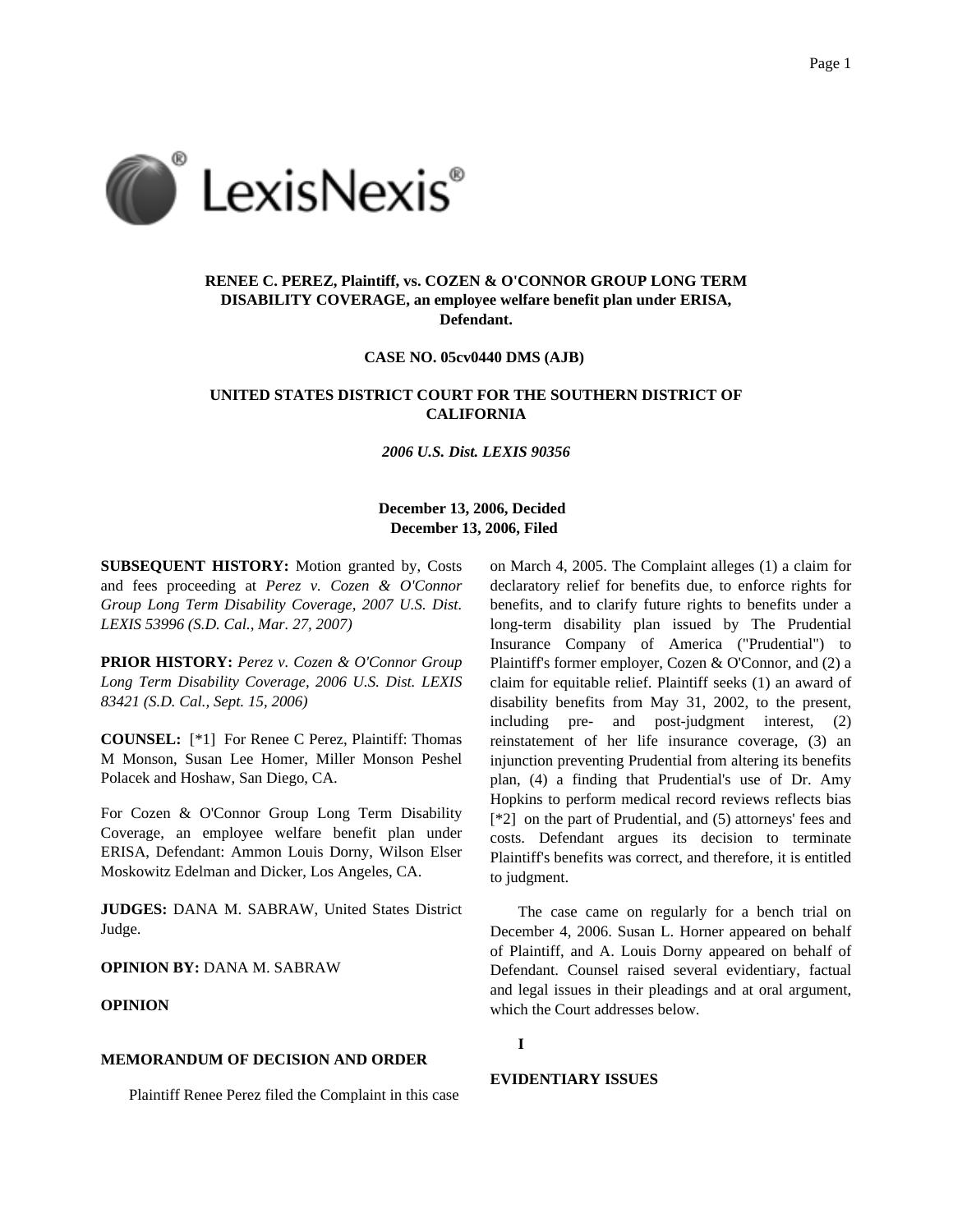

# **RENEE C. PEREZ, Plaintiff, vs. COZEN & O'CONNOR GROUP LONG TERM DISABILITY COVERAGE, an employee welfare benefit plan under ERISA, Defendant.**

**CASE NO. 05cv0440 DMS (AJB)**

# **UNITED STATES DISTRICT COURT FOR THE SOUTHERN DISTRICT OF CALIFORNIA**

*2006 U.S. Dist. LEXIS 90356*

# **December 13, 2006, Decided December 13, 2006, Filed**

**SUBSEQUENT HISTORY:** Motion granted by, Costs and fees proceeding at *Perez v. Cozen & O'Connor Group Long Term Disability Coverage, 2007 U.S. Dist. LEXIS 53996 (S.D. Cal., Mar. 27, 2007)*

**PRIOR HISTORY:** *Perez v. Cozen & O'Connor Group Long Term Disability Coverage, 2006 U.S. Dist. LEXIS 83421 (S.D. Cal., Sept. 15, 2006)*

**COUNSEL:** [\*1] For Renee C Perez, Plaintiff: Thomas M Monson, Susan Lee Homer, Miller Monson Peshel Polacek and Hoshaw, San Diego, CA.

For Cozen & O'Connor Group Long Term Disability Coverage, an employee welfare benefit plan under ERISA, Defendant: Ammon Louis Dorny, Wilson Elser Moskowitz Edelman and Dicker, Los Angeles, CA.

**JUDGES:** DANA M. SABRAW, United States District Judge.

**OPINION BY:** DANA M. SABRAW

# **OPINION**

#### **MEMORANDUM OF DECISION AND ORDER**

Plaintiff Renee Perez filed the Complaint in this case

on March 4, 2005. The Complaint alleges (1) a claim for declaratory relief for benefits due, to enforce rights for benefits, and to clarify future rights to benefits under a long-term disability plan issued by The Prudential Insurance Company of America ("Prudential") to Plaintiff's former employer, Cozen & O'Connor, and (2) a claim for equitable relief. Plaintiff seeks (1) an award of disability benefits from May 31, 2002, to the present, including pre- and post-judgment interest, (2) reinstatement of her life insurance coverage, (3) an injunction preventing Prudential from altering its benefits plan, (4) a finding that Prudential's use of Dr. Amy Hopkins to perform medical record reviews reflects bias [\*2] on the part of Prudential, and (5) attorneys' fees and costs. Defendant argues its decision to terminate Plaintiff's benefits was correct, and therefore, it is entitled to judgment.

The case came on regularly for a bench trial on December 4, 2006. Susan L. Horner appeared on behalf of Plaintiff, and A. Louis Dorny appeared on behalf of Defendant. Counsel raised several evidentiary, factual and legal issues in their pleadings and at oral argument, which the Court addresses below.

### **I**

#### **EVIDENTIARY ISSUES**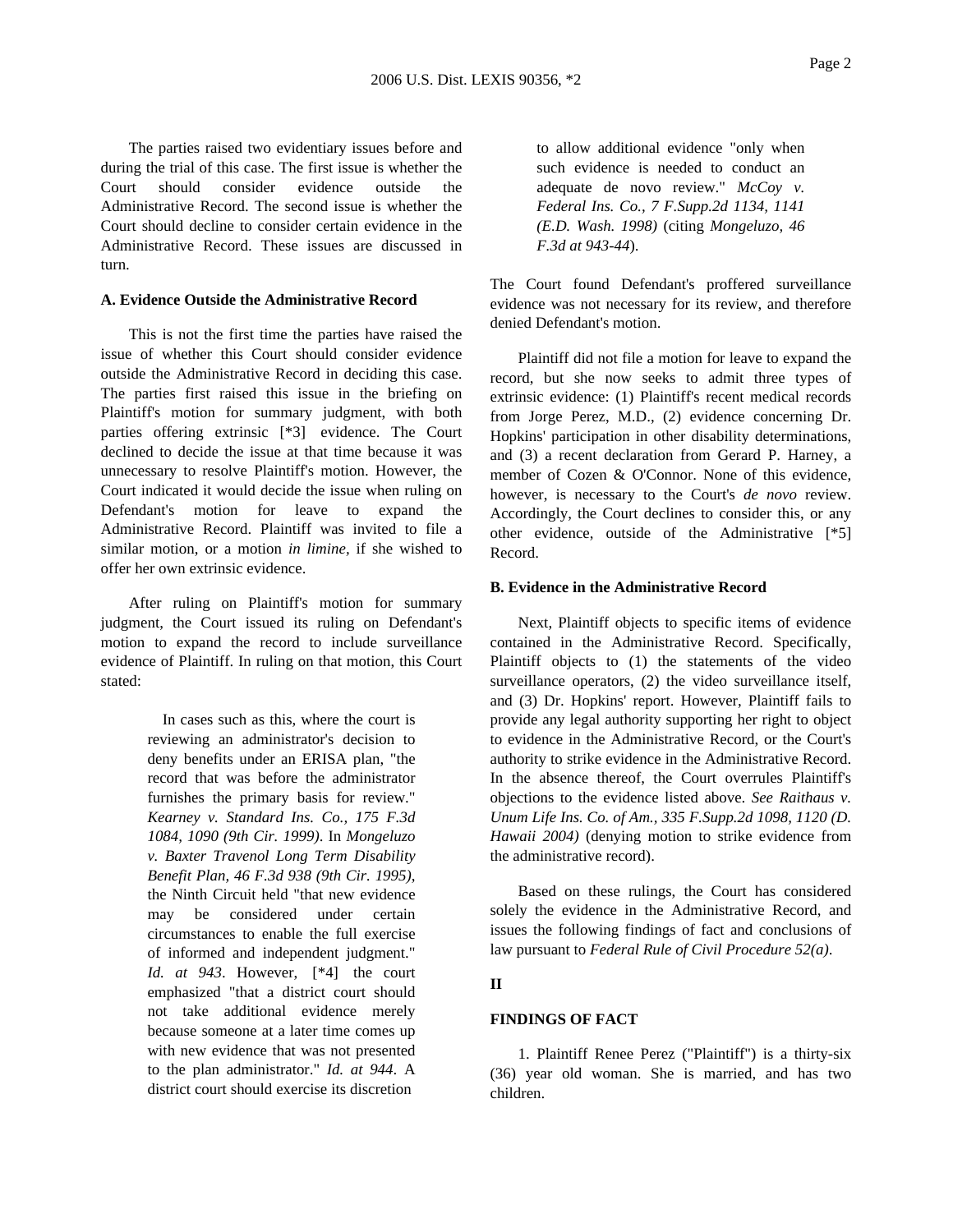The parties raised two evidentiary issues before and during the trial of this case. The first issue is whether the Court should consider evidence outside the Administrative Record. The second issue is whether the Court should decline to consider certain evidence in the Administrative Record. These issues are discussed in turn.

## **A. Evidence Outside the Administrative Record**

This is not the first time the parties have raised the issue of whether this Court should consider evidence outside the Administrative Record in deciding this case. The parties first raised this issue in the briefing on Plaintiff's motion for summary judgment, with both parties offering extrinsic [\*3] evidence. The Court declined to decide the issue at that time because it was unnecessary to resolve Plaintiff's motion. However, the Court indicated it would decide the issue when ruling on Defendant's motion for leave to expand the Administrative Record. Plaintiff was invited to file a similar motion, or a motion *in limine,* if she wished to offer her own extrinsic evidence.

After ruling on Plaintiff's motion for summary judgment, the Court issued its ruling on Defendant's motion to expand the record to include surveillance evidence of Plaintiff. In ruling on that motion, this Court stated:

> In cases such as this, where the court is reviewing an administrator's decision to deny benefits under an ERISA plan, "the record that was before the administrator furnishes the primary basis for review." *Kearney v. Standard Ins. Co., 175 F.3d 1084, 1090 (9th Cir. 1999)*. In *Mongeluzo v. Baxter Travenol Long Term Disability Benefit Plan, 46 F.3d 938 (9th Cir. 1995)*, the Ninth Circuit held "that new evidence may be considered under certain circumstances to enable the full exercise of informed and independent judgment." *Id. at 943*. However, [\*4] the court emphasized "that a district court should not take additional evidence merely because someone at a later time comes up with new evidence that was not presented to the plan administrator." *Id. at 944*. A district court should exercise its discretion

to allow additional evidence "only when such evidence is needed to conduct an adequate de novo review." *McCoy v. Federal Ins. Co., 7 F.Supp.2d 1134, 1141 (E.D. Wash. 1998)* (citing *Mongeluzo, 46 F.3d at 943-44*).

The Court found Defendant's proffered surveillance evidence was not necessary for its review, and therefore denied Defendant's motion.

Plaintiff did not file a motion for leave to expand the record, but she now seeks to admit three types of extrinsic evidence: (1) Plaintiff's recent medical records from Jorge Perez, M.D., (2) evidence concerning Dr. Hopkins' participation in other disability determinations, and (3) a recent declaration from Gerard P. Harney, a member of Cozen & O'Connor. None of this evidence, however, is necessary to the Court's *de novo* review. Accordingly, the Court declines to consider this, or any other evidence, outside of the Administrative [\*5] Record.

#### **B. Evidence in the Administrative Record**

Next, Plaintiff objects to specific items of evidence contained in the Administrative Record. Specifically, Plaintiff objects to (1) the statements of the video surveillance operators, (2) the video surveillance itself, and (3) Dr. Hopkins' report. However, Plaintiff fails to provide any legal authority supporting her right to object to evidence in the Administrative Record, or the Court's authority to strike evidence in the Administrative Record. In the absence thereof, the Court overrules Plaintiff's objections to the evidence listed above. *See Raithaus v. Unum Life Ins. Co. of Am., 335 F.Supp.2d 1098, 1120 (D. Hawaii 2004)* (denying motion to strike evidence from the administrative record).

Based on these rulings, the Court has considered solely the evidence in the Administrative Record, and issues the following findings of fact and conclusions of law pursuant to *Federal Rule of Civil Procedure 52(a)*.

# **II**

# **FINDINGS OF FACT**

1. Plaintiff Renee Perez ("Plaintiff") is a thirty-six (36) year old woman. She is married, and has two children.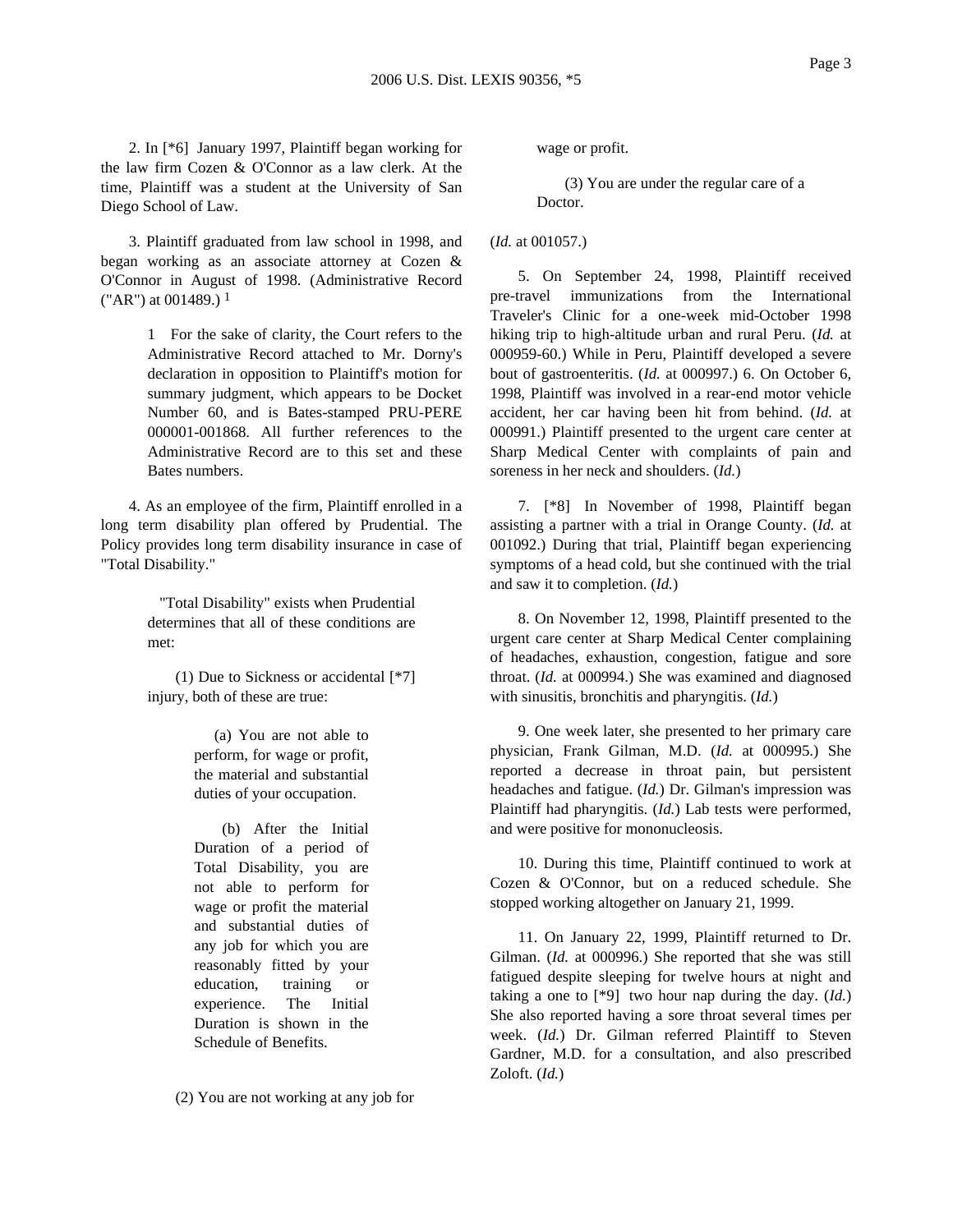2. In [\*6] January 1997, Plaintiff began working for the law firm Cozen & O'Connor as a law clerk. At the time, Plaintiff was a student at the University of San Diego School of Law.

3. Plaintiff graduated from law school in 1998, and began working as an associate attorney at Cozen & O'Connor in August of 1998. (Administrative Record ("AR") at 001489.)  $<sup>1</sup>$ </sup>

> 1 For the sake of clarity, the Court refers to the Administrative Record attached to Mr. Dorny's declaration in opposition to Plaintiff's motion for summary judgment, which appears to be Docket Number 60, and is Bates-stamped PRU-PERE 000001-001868. All further references to the Administrative Record are to this set and these Bates numbers.

4. As an employee of the firm, Plaintiff enrolled in a long term disability plan offered by Prudential. The Policy provides long term disability insurance in case of "Total Disability."

> "Total Disability" exists when Prudential determines that all of these conditions are met:

> (1) Due to Sickness or accidental [\*7] injury, both of these are true:

> > (a) You are not able to perform, for wage or profit, the material and substantial duties of your occupation.

(b) After the Initial Duration of a period of Total Disability, you are not able to perform for wage or profit the material and substantial duties of any job for which you are reasonably fitted by your education, training or experience. The Initial Duration is shown in the Schedule of Benefits.

(2) You are not working at any job for

wage or profit.

(3) You are under the regular care of a Doctor.

(*Id.* at 001057.)

5. On September 24, 1998, Plaintiff received pre-travel immunizations from the International Traveler's Clinic for a one-week mid-October 1998 hiking trip to high-altitude urban and rural Peru. (*Id.* at 000959-60.) While in Peru, Plaintiff developed a severe bout of gastroenteritis. (*Id.* at 000997.) 6. On October 6, 1998, Plaintiff was involved in a rear-end motor vehicle accident, her car having been hit from behind. (*Id.* at 000991.) Plaintiff presented to the urgent care center at Sharp Medical Center with complaints of pain and soreness in her neck and shoulders. (*Id.*)

7. [\*8] In November of 1998, Plaintiff began assisting a partner with a trial in Orange County. (*Id.* at 001092.) During that trial, Plaintiff began experiencing symptoms of a head cold, but she continued with the trial and saw it to completion. (*Id.*)

8. On November 12, 1998, Plaintiff presented to the urgent care center at Sharp Medical Center complaining of headaches, exhaustion, congestion, fatigue and sore throat. (*Id.* at 000994.) She was examined and diagnosed with sinusitis, bronchitis and pharyngitis. (*Id.*)

9. One week later, she presented to her primary care physician, Frank Gilman, M.D. (*Id.* at 000995.) She reported a decrease in throat pain, but persistent headaches and fatigue. (*Id.*) Dr. Gilman's impression was Plaintiff had pharyngitis. (*Id.*) Lab tests were performed, and were positive for mononucleosis.

10. During this time, Plaintiff continued to work at Cozen & O'Connor, but on a reduced schedule. She stopped working altogether on January 21, 1999.

11. On January 22, 1999, Plaintiff returned to Dr. Gilman. (*Id.* at 000996.) She reported that she was still fatigued despite sleeping for twelve hours at night and taking a one to [\*9] two hour nap during the day. (*Id.*) She also reported having a sore throat several times per week. (*Id.*) Dr. Gilman referred Plaintiff to Steven Gardner, M.D. for a consultation, and also prescribed Zoloft. (*Id.*)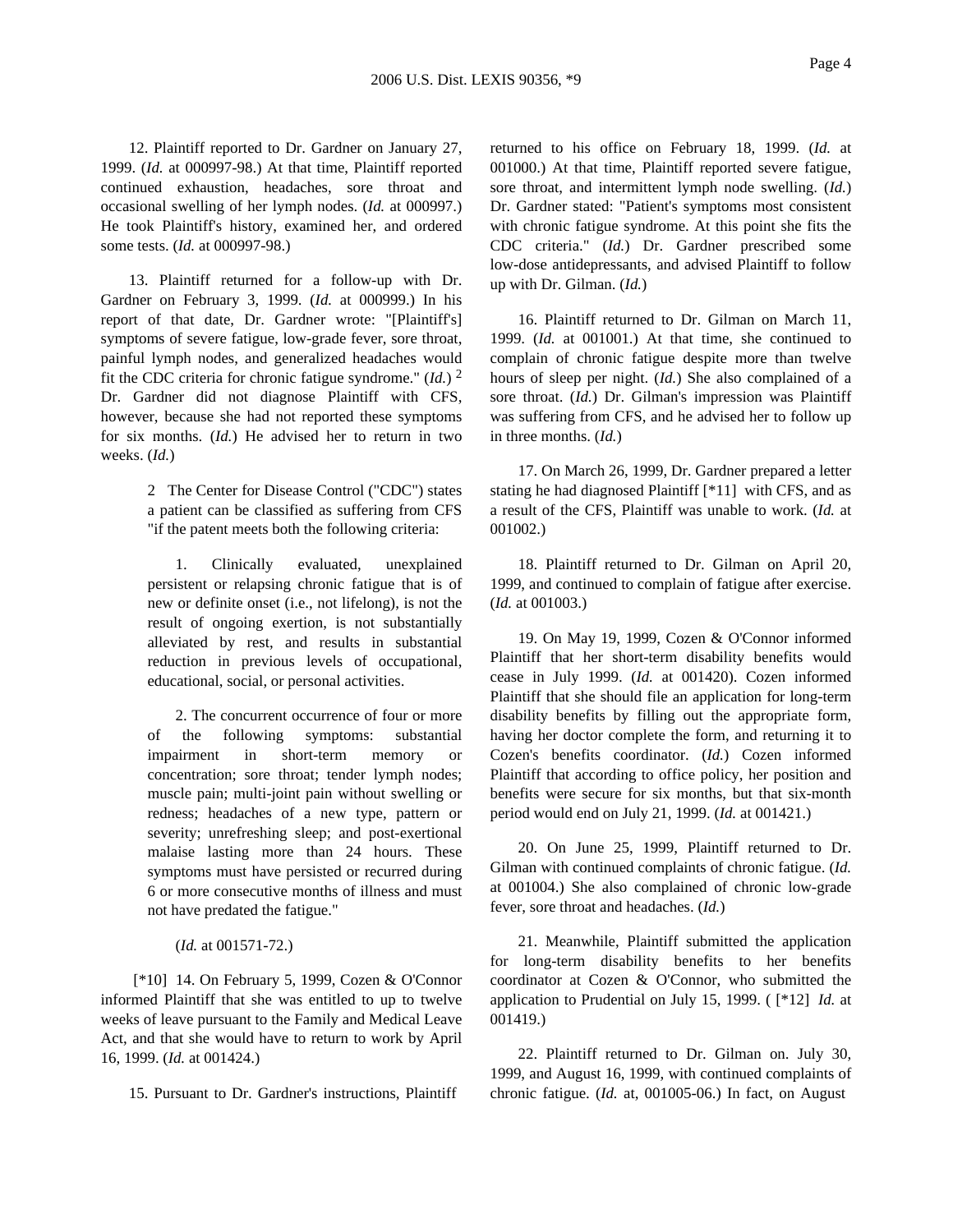12. Plaintiff reported to Dr. Gardner on January 27, 1999. (*Id.* at 000997-98.) At that time, Plaintiff reported continued exhaustion, headaches, sore throat and occasional swelling of her lymph nodes. (*Id.* at 000997.) He took Plaintiff's history, examined her, and ordered some tests. (*Id.* at 000997-98.)

13. Plaintiff returned for a follow-up with Dr. Gardner on February 3, 1999. (*Id.* at 000999.) In his report of that date, Dr. Gardner wrote: "[Plaintiff's] symptoms of severe fatigue, low-grade fever, sore throat, painful lymph nodes, and generalized headaches would fit the CDC criteria for chronic fatigue syndrome." (*Id.*) 2 Dr. Gardner did not diagnose Plaintiff with CFS, however, because she had not reported these symptoms for six months. (*Id.*) He advised her to return in two weeks. (*Id.*)

> 2 The Center for Disease Control ("CDC") states a patient can be classified as suffering from CFS "if the patent meets both the following criteria:

> 1. Clinically evaluated, unexplained persistent or relapsing chronic fatigue that is of new or definite onset (i.e., not lifelong), is not the result of ongoing exertion, is not substantially alleviated by rest, and results in substantial reduction in previous levels of occupational, educational, social, or personal activities.

> 2. The concurrent occurrence of four or more of the following symptoms: substantial impairment in short-term memory or concentration; sore throat; tender lymph nodes; muscle pain; multi-joint pain without swelling or redness; headaches of a new type, pattern or severity; unrefreshing sleep; and post-exertional malaise lasting more than 24 hours. These symptoms must have persisted or recurred during 6 or more consecutive months of illness and must not have predated the fatigue."

### (*Id.* at 001571-72.)

[\*10] 14. On February 5, 1999, Cozen & O'Connor informed Plaintiff that she was entitled to up to twelve weeks of leave pursuant to the Family and Medical Leave Act, and that she would have to return to work by April 16, 1999. (*Id.* at 001424.)

15. Pursuant to Dr. Gardner's instructions, Plaintiff

returned to his office on February 18, 1999. (*Id.* at 001000.) At that time, Plaintiff reported severe fatigue, sore throat, and intermittent lymph node swelling. (*Id.*) Dr. Gardner stated: "Patient's symptoms most consistent with chronic fatigue syndrome. At this point she fits the CDC criteria." (*Id.*) Dr. Gardner prescribed some low-dose antidepressants, and advised Plaintiff to follow up with Dr. Gilman. (*Id.*)

16. Plaintiff returned to Dr. Gilman on March 11, 1999. (*Id.* at 001001.) At that time, she continued to complain of chronic fatigue despite more than twelve hours of sleep per night. (*Id.*) She also complained of a sore throat. (*Id.*) Dr. Gilman's impression was Plaintiff was suffering from CFS, and he advised her to follow up in three months. (*Id.*)

17. On March 26, 1999, Dr. Gardner prepared a letter stating he had diagnosed Plaintiff [\*11] with CFS, and as a result of the CFS, Plaintiff was unable to work. (*Id.* at 001002.)

18. Plaintiff returned to Dr. Gilman on April 20, 1999, and continued to complain of fatigue after exercise. (*Id.* at 001003.)

19. On May 19, 1999, Cozen & O'Connor informed Plaintiff that her short-term disability benefits would cease in July 1999. (*Id.* at 001420). Cozen informed Plaintiff that she should file an application for long-term disability benefits by filling out the appropriate form, having her doctor complete the form, and returning it to Cozen's benefits coordinator. (*Id.*) Cozen informed Plaintiff that according to office policy, her position and benefits were secure for six months, but that six-month period would end on July 21, 1999. (*Id.* at 001421.)

20. On June 25, 1999, Plaintiff returned to Dr. Gilman with continued complaints of chronic fatigue. (*Id.* at 001004.) She also complained of chronic low-grade fever, sore throat and headaches. (*Id.*)

21. Meanwhile, Plaintiff submitted the application for long-term disability benefits to her benefits coordinator at Cozen & O'Connor, who submitted the application to Prudential on July 15, 1999. ( [\*12] *Id.* at 001419.)

22. Plaintiff returned to Dr. Gilman on. July 30, 1999, and August 16, 1999, with continued complaints of chronic fatigue. (*Id.* at, 001005-06.) In fact, on August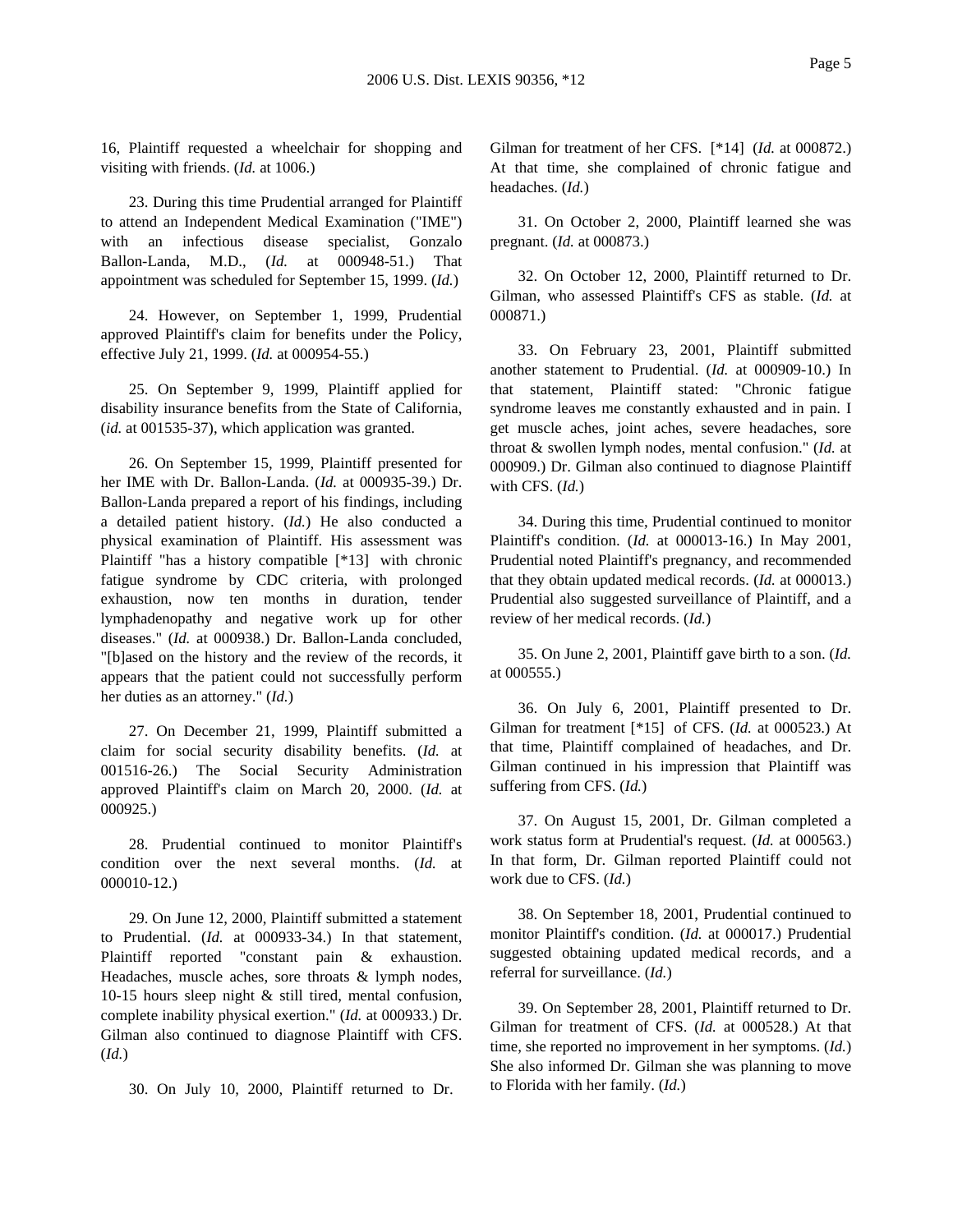16, Plaintiff requested a wheelchair for shopping and visiting with friends. (*Id.* at 1006.)

23. During this time Prudential arranged for Plaintiff to attend an Independent Medical Examination ("IME") with an infectious disease specialist, Gonzalo Ballon-Landa, M.D., (*Id.* at 000948-51.) That appointment was scheduled for September 15, 1999. (*Id.*)

24. However, on September 1, 1999, Prudential approved Plaintiff's claim for benefits under the Policy, effective July 21, 1999. (*Id.* at 000954-55.)

25. On September 9, 1999, Plaintiff applied for disability insurance benefits from the State of California, (*id.* at 001535-37), which application was granted.

26. On September 15, 1999, Plaintiff presented for her IME with Dr. Ballon-Landa. (*Id.* at 000935-39.) Dr. Ballon-Landa prepared a report of his findings, including a detailed patient history. (*Id.*) He also conducted a physical examination of Plaintiff. His assessment was Plaintiff "has a history compatible [\*13] with chronic fatigue syndrome by CDC criteria, with prolonged exhaustion, now ten months in duration, tender lymphadenopathy and negative work up for other diseases." (*Id.* at 000938.) Dr. Ballon-Landa concluded, "[b]ased on the history and the review of the records, it appears that the patient could not successfully perform her duties as an attorney." (*Id.*)

27. On December 21, 1999, Plaintiff submitted a claim for social security disability benefits. (*Id.* at 001516-26.) The Social Security Administration approved Plaintiff's claim on March 20, 2000. (*Id.* at 000925.)

28. Prudential continued to monitor Plaintiff's condition over the next several months. (*Id.* at 000010-12.)

29. On June 12, 2000, Plaintiff submitted a statement to Prudential. (*Id.* at 000933-34.) In that statement, Plaintiff reported "constant pain & exhaustion. Headaches, muscle aches, sore throats & lymph nodes, 10-15 hours sleep night & still tired, mental confusion, complete inability physical exertion." (*Id.* at 000933.) Dr. Gilman also continued to diagnose Plaintiff with CFS. (*Id.*)

30. On July 10, 2000, Plaintiff returned to Dr.

Gilman for treatment of her CFS. [\*14] (*Id.* at 000872.) At that time, she complained of chronic fatigue and headaches. (*Id.*)

31. On October 2, 2000, Plaintiff learned she was pregnant. (*Id.* at 000873.)

32. On October 12, 2000, Plaintiff returned to Dr. Gilman, who assessed Plaintiff's CFS as stable. (*Id.* at 000871.)

33. On February 23, 2001, Plaintiff submitted another statement to Prudential. (*Id.* at 000909-10.) In that statement, Plaintiff stated: "Chronic fatigue syndrome leaves me constantly exhausted and in pain. I get muscle aches, joint aches, severe headaches, sore throat & swollen lymph nodes, mental confusion." (*Id.* at 000909.) Dr. Gilman also continued to diagnose Plaintiff with CFS. (*Id.*)

34. During this time, Prudential continued to monitor Plaintiff's condition. (*Id.* at 000013-16.) In May 2001, Prudential noted Plaintiff's pregnancy, and recommended that they obtain updated medical records. (*Id.* at 000013.) Prudential also suggested surveillance of Plaintiff, and a review of her medical records. (*Id.*)

35. On June 2, 2001, Plaintiff gave birth to a son. (*Id.* at 000555.)

36. On July 6, 2001, Plaintiff presented to Dr. Gilman for treatment [\*15] of CFS. (*Id.* at 000523.) At that time, Plaintiff complained of headaches, and Dr. Gilman continued in his impression that Plaintiff was suffering from CFS. (*Id.*)

37. On August 15, 2001, Dr. Gilman completed a work status form at Prudential's request. (*Id.* at 000563.) In that form, Dr. Gilman reported Plaintiff could not work due to CFS. (*Id.*)

38. On September 18, 2001, Prudential continued to monitor Plaintiff's condition. (*Id.* at 000017.) Prudential suggested obtaining updated medical records, and a referral for surveillance. (*Id.*)

39. On September 28, 2001, Plaintiff returned to Dr. Gilman for treatment of CFS. (*Id.* at 000528.) At that time, she reported no improvement in her symptoms. (*Id.*) She also informed Dr. Gilman she was planning to move to Florida with her family. (*Id.*)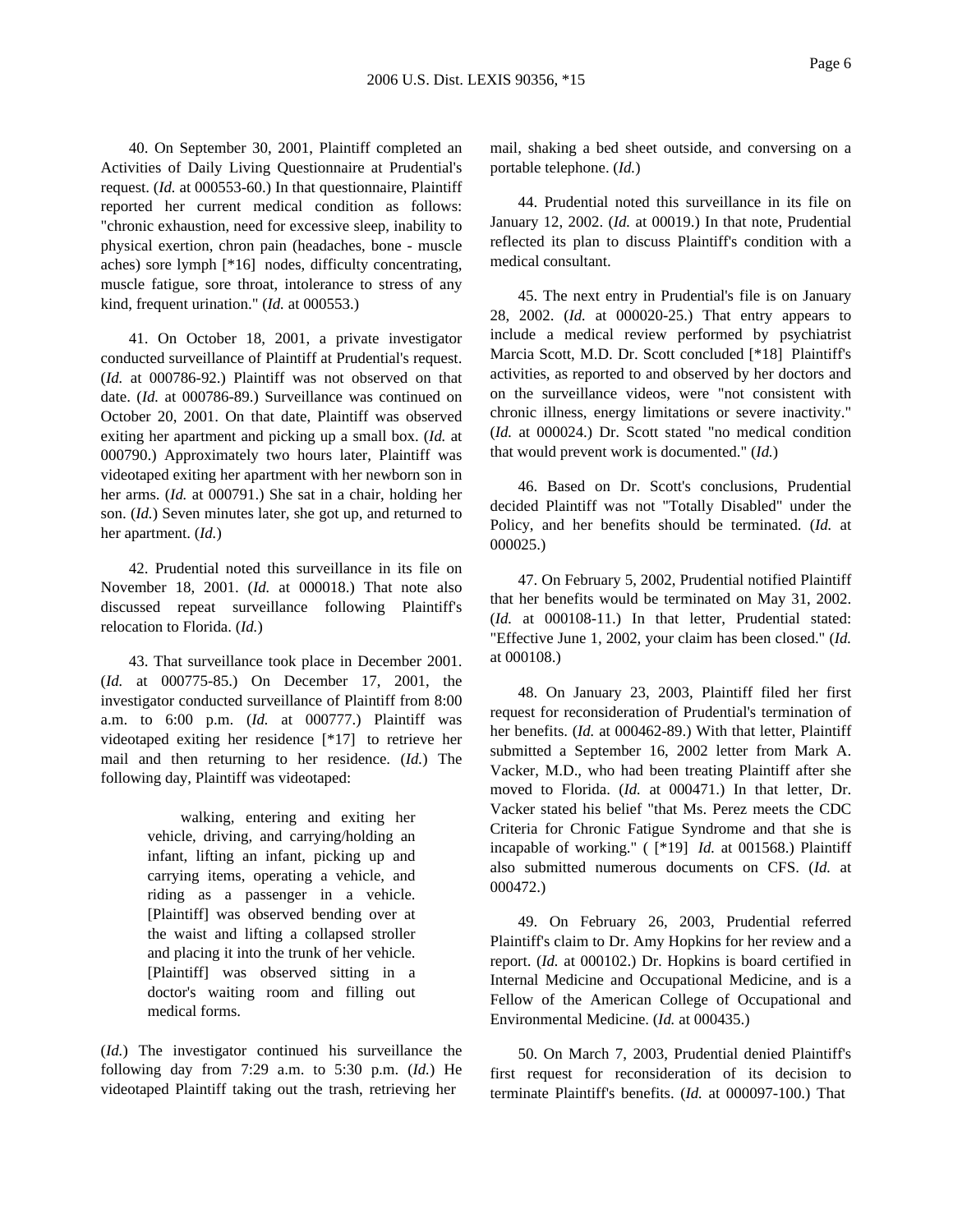40. On September 30, 2001, Plaintiff completed an Activities of Daily Living Questionnaire at Prudential's request. (*Id.* at 000553-60.) In that questionnaire, Plaintiff reported her current medical condition as follows: "chronic exhaustion, need for excessive sleep, inability to physical exertion, chron pain (headaches, bone - muscle aches) sore lymph [\*16] nodes, difficulty concentrating, muscle fatigue, sore throat, intolerance to stress of any kind, frequent urination." (*Id.* at 000553.)

41. On October 18, 2001, a private investigator conducted surveillance of Plaintiff at Prudential's request. (*Id.* at 000786-92.) Plaintiff was not observed on that date. (*Id.* at 000786-89.) Surveillance was continued on October 20, 2001. On that date, Plaintiff was observed exiting her apartment and picking up a small box. (*Id.* at 000790.) Approximately two hours later, Plaintiff was videotaped exiting her apartment with her newborn son in her arms. (*Id.* at 000791.) She sat in a chair, holding her son. (*Id.*) Seven minutes later, she got up, and returned to her apartment. (*Id.*)

42. Prudential noted this surveillance in its file on November 18, 2001. (*Id.* at 000018.) That note also discussed repeat surveillance following Plaintiff's relocation to Florida. (*Id.*)

43. That surveillance took place in December 2001. (*Id.* at 000775-85.) On December 17, 2001, the investigator conducted surveillance of Plaintiff from 8:00 a.m. to 6:00 p.m. (*Id.* at 000777.) Plaintiff was videotaped exiting her residence [\*17] to retrieve her mail and then returning to her residence. (*Id.*) The following day, Plaintiff was videotaped:

> walking, entering and exiting her vehicle, driving, and carrying/holding an infant, lifting an infant, picking up and carrying items, operating a vehicle, and riding as a passenger in a vehicle. [Plaintiff] was observed bending over at the waist and lifting a collapsed stroller and placing it into the trunk of her vehicle. [Plaintiff] was observed sitting in a doctor's waiting room and filling out medical forms.

(*Id.*) The investigator continued his surveillance the following day from 7:29 a.m. to 5:30 p.m. (*Id.*) He videotaped Plaintiff taking out the trash, retrieving her

mail, shaking a bed sheet outside, and conversing on a portable telephone. (*Id.*)

44. Prudential noted this surveillance in its file on January 12, 2002. (*Id.* at 00019.) In that note, Prudential reflected its plan to discuss Plaintiff's condition with a medical consultant.

45. The next entry in Prudential's file is on January 28, 2002. (*Id.* at 000020-25.) That entry appears to include a medical review performed by psychiatrist Marcia Scott, M.D. Dr. Scott concluded [\*18] Plaintiff's activities, as reported to and observed by her doctors and on the surveillance videos, were "not consistent with chronic illness, energy limitations or severe inactivity." (*Id.* at 000024.) Dr. Scott stated "no medical condition that would prevent work is documented." (*Id.*)

46. Based on Dr. Scott's conclusions, Prudential decided Plaintiff was not "Totally Disabled" under the Policy, and her benefits should be terminated. (*Id.* at 000025.)

47. On February 5, 2002, Prudential notified Plaintiff that her benefits would be terminated on May 31, 2002. (*Id.* at 000108-11.) In that letter, Prudential stated: "Effective June 1, 2002, your claim has been closed." (*Id.* at 000108.)

48. On January 23, 2003, Plaintiff filed her first request for reconsideration of Prudential's termination of her benefits. (*Id.* at 000462-89.) With that letter, Plaintiff submitted a September 16, 2002 letter from Mark A. Vacker, M.D., who had been treating Plaintiff after she moved to Florida. (*Id.* at 000471.) In that letter, Dr. Vacker stated his belief "that Ms. Perez meets the CDC Criteria for Chronic Fatigue Syndrome and that she is incapable of working." ( [\*19] *Id.* at 001568.) Plaintiff also submitted numerous documents on CFS. (*Id.* at 000472.)

49. On February 26, 2003, Prudential referred Plaintiff's claim to Dr. Amy Hopkins for her review and a report. (*Id.* at 000102.) Dr. Hopkins is board certified in Internal Medicine and Occupational Medicine, and is a Fellow of the American College of Occupational and Environmental Medicine. (*Id.* at 000435.)

50. On March 7, 2003, Prudential denied Plaintiff's first request for reconsideration of its decision to terminate Plaintiff's benefits. (*Id.* at 000097-100.) That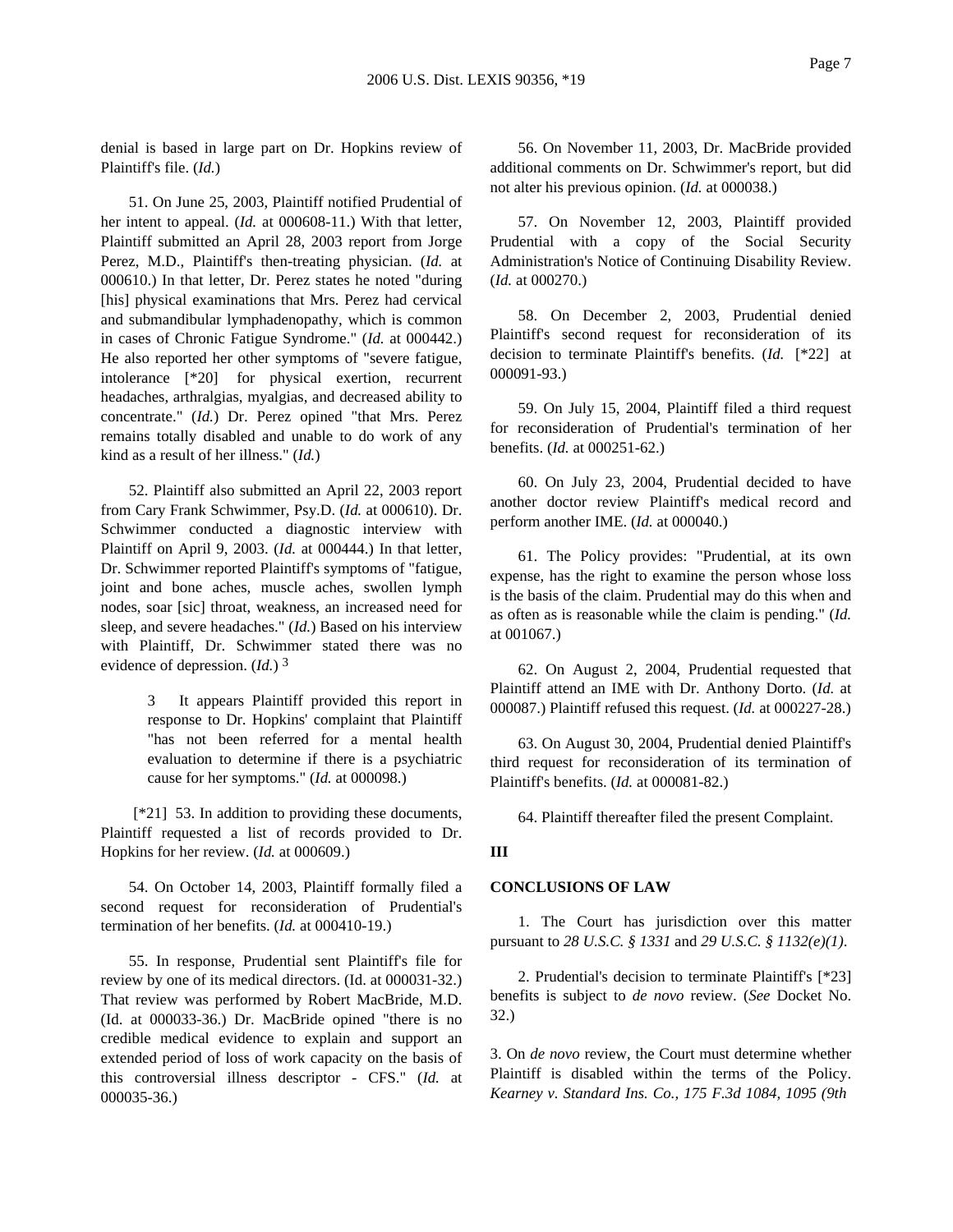denial is based in large part on Dr. Hopkins review of Plaintiff's file. (*Id.*)

51. On June 25, 2003, Plaintiff notified Prudential of her intent to appeal. (*Id.* at 000608-11.) With that letter, Plaintiff submitted an April 28, 2003 report from Jorge Perez, M.D., Plaintiff's then-treating physician. (*Id.* at 000610.) In that letter, Dr. Perez states he noted "during [his] physical examinations that Mrs. Perez had cervical and submandibular lymphadenopathy, which is common in cases of Chronic Fatigue Syndrome." (*Id.* at 000442.) He also reported her other symptoms of "severe fatigue, intolerance [\*20] for physical exertion, recurrent headaches, arthralgias, myalgias, and decreased ability to concentrate." (*Id.*) Dr. Perez opined "that Mrs. Perez remains totally disabled and unable to do work of any kind as a result of her illness." (*Id.*)

52. Plaintiff also submitted an April 22, 2003 report from Cary Frank Schwimmer, Psy.D. (*Id.* at 000610). Dr. Schwimmer conducted a diagnostic interview with Plaintiff on April 9, 2003. (*Id.* at 000444.) In that letter, Dr. Schwimmer reported Plaintiff's symptoms of "fatigue, joint and bone aches, muscle aches, swollen lymph nodes, soar [sic] throat, weakness, an increased need for sleep, and severe headaches." (*Id.*) Based on his interview with Plaintiff, Dr. Schwimmer stated there was no evidence of depression. (*Id.*) 3

> 3 It appears Plaintiff provided this report in response to Dr. Hopkins' complaint that Plaintiff "has not been referred for a mental health evaluation to determine if there is a psychiatric cause for her symptoms." (*Id.* at 000098.)

[\*21] 53. In addition to providing these documents, Plaintiff requested a list of records provided to Dr. Hopkins for her review. (*Id.* at 000609.)

54. On October 14, 2003, Plaintiff formally filed a second request for reconsideration of Prudential's termination of her benefits. (*Id.* at 000410-19.)

55. In response, Prudential sent Plaintiff's file for review by one of its medical directors. (Id. at 000031-32.) That review was performed by Robert MacBride, M.D. (Id. at 000033-36.) Dr. MacBride opined "there is no credible medical evidence to explain and support an extended period of loss of work capacity on the basis of this controversial illness descriptor - CFS." (*Id.* at 000035-36.)

56. On November 11, 2003, Dr. MacBride provided additional comments on Dr. Schwimmer's report, but did not alter his previous opinion. (*Id.* at 000038.)

57. On November 12, 2003, Plaintiff provided Prudential with a copy of the Social Security Administration's Notice of Continuing Disability Review. (*Id.* at 000270.)

58. On December 2, 2003, Prudential denied Plaintiff's second request for reconsideration of its decision to terminate Plaintiff's benefits. (*Id.* [\*22] at 000091-93.)

59. On July 15, 2004, Plaintiff filed a third request for reconsideration of Prudential's termination of her benefits. (*Id.* at 000251-62.)

60. On July 23, 2004, Prudential decided to have another doctor review Plaintiff's medical record and perform another IME. (*Id.* at 000040.)

61. The Policy provides: "Prudential, at its own expense, has the right to examine the person whose loss is the basis of the claim. Prudential may do this when and as often as is reasonable while the claim is pending." (*Id.* at 001067.)

62. On August 2, 2004, Prudential requested that Plaintiff attend an IME with Dr. Anthony Dorto. (*Id.* at 000087.) Plaintiff refused this request. (*Id.* at 000227-28.)

63. On August 30, 2004, Prudential denied Plaintiff's third request for reconsideration of its termination of Plaintiff's benefits. (*Id.* at 000081-82.)

64. Plaintiff thereafter filed the present Complaint.

### **III**

#### **CONCLUSIONS OF LAW**

1. The Court has jurisdiction over this matter pursuant to *28 U.S.C. § 1331* and *29 U.S.C. § 1132(e)(1)*.

2. Prudential's decision to terminate Plaintiff's [\*23] benefits is subject to *de novo* review. (*See* Docket No. 32.)

3. On *de novo* review, the Court must determine whether Plaintiff is disabled within the terms of the Policy. *Kearney v. Standard Ins. Co., 175 F.3d 1084, 1095 (9th*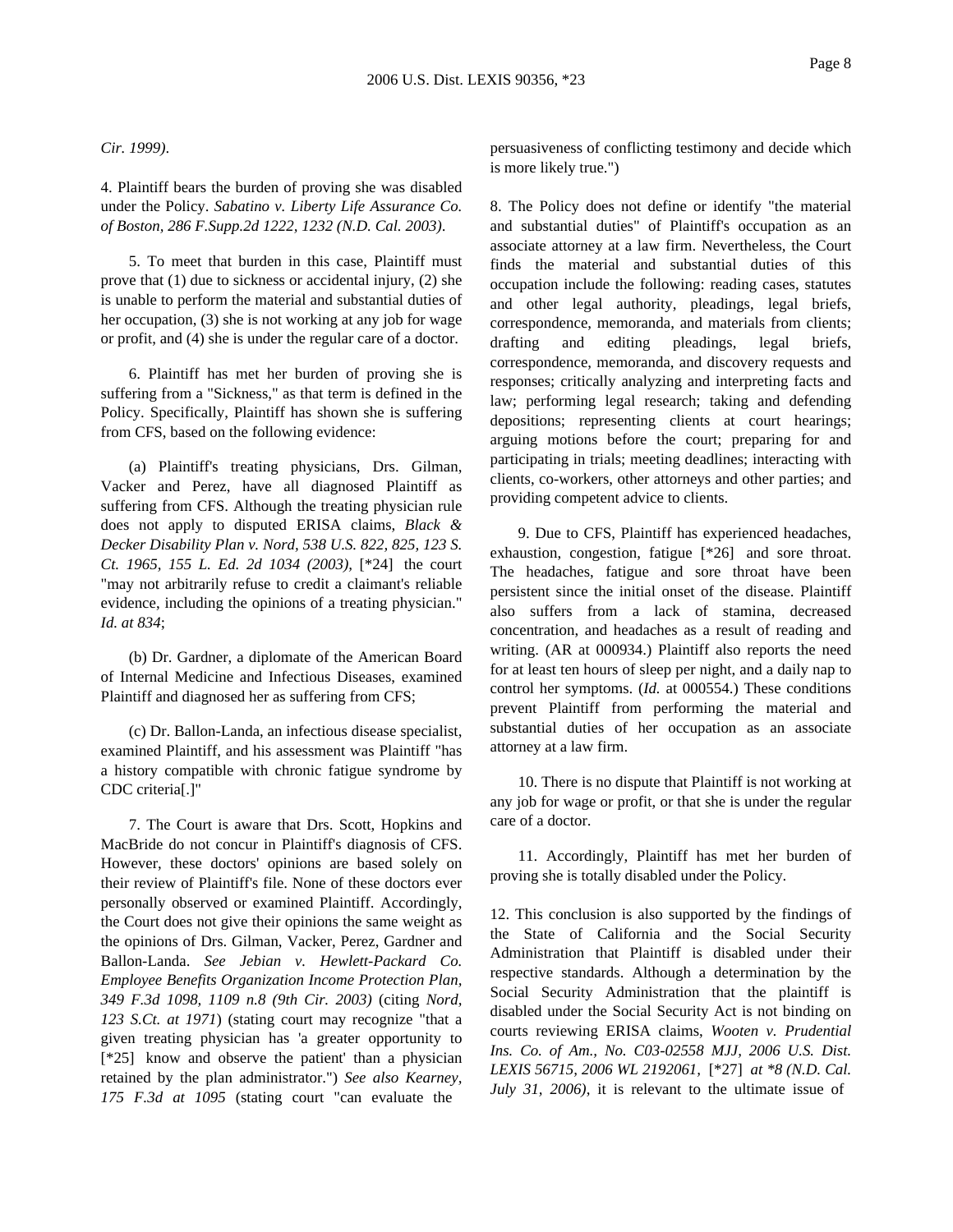### *Cir. 1999)*.

4. Plaintiff bears the burden of proving she was disabled under the Policy. *Sabatino v. Liberty Life Assurance Co. of Boston, 286 F.Supp.2d 1222, 1232 (N.D. Cal. 2003)*.

5. To meet that burden in this case, Plaintiff must prove that (1) due to sickness or accidental injury, (2) she is unable to perform the material and substantial duties of her occupation, (3) she is not working at any job for wage or profit, and (4) she is under the regular care of a doctor.

6. Plaintiff has met her burden of proving she is suffering from a "Sickness," as that term is defined in the Policy. Specifically, Plaintiff has shown she is suffering from CFS, based on the following evidence:

(a) Plaintiff's treating physicians, Drs. Gilman, Vacker and Perez, have all diagnosed Plaintiff as suffering from CFS. Although the treating physician rule does not apply to disputed ERISA claims, *Black & Decker Disability Plan v. Nord, 538 U.S. 822, 825, 123 S. Ct. 1965, 155 L. Ed. 2d 1034 (2003),* [\*24] the court "may not arbitrarily refuse to credit a claimant's reliable evidence, including the opinions of a treating physician." *Id. at 834*;

(b) Dr. Gardner, a diplomate of the American Board of Internal Medicine and Infectious Diseases, examined Plaintiff and diagnosed her as suffering from CFS;

(c) Dr. Ballon-Landa, an infectious disease specialist, examined Plaintiff, and his assessment was Plaintiff "has a history compatible with chronic fatigue syndrome by CDC criteria[.]"

7. The Court is aware that Drs. Scott, Hopkins and MacBride do not concur in Plaintiff's diagnosis of CFS. However, these doctors' opinions are based solely on their review of Plaintiff's file. None of these doctors ever personally observed or examined Plaintiff. Accordingly, the Court does not give their opinions the same weight as the opinions of Drs. Gilman, Vacker, Perez, Gardner and Ballon-Landa. *See Jebian v. Hewlett-Packard Co. Employee Benefits Organization Income Protection Plan, 349 F.3d 1098, 1109 n.8 (9th Cir. 2003)* (citing *Nord, 123 S.Ct. at 1971*) (stating court may recognize "that a given treating physician has 'a greater opportunity to [\*25] know and observe the patient' than a physician retained by the plan administrator.") *See also Kearney, 175 F.3d at 1095* (stating court "can evaluate the

persuasiveness of conflicting testimony and decide which is more likely true.")

8. The Policy does not define or identify "the material and substantial duties" of Plaintiff's occupation as an associate attorney at a law firm. Nevertheless, the Court finds the material and substantial duties of this occupation include the following: reading cases, statutes and other legal authority, pleadings, legal briefs, correspondence, memoranda, and materials from clients; drafting and editing pleadings, legal briefs, correspondence, memoranda, and discovery requests and responses; critically analyzing and interpreting facts and law; performing legal research; taking and defending depositions; representing clients at court hearings; arguing motions before the court; preparing for and participating in trials; meeting deadlines; interacting with clients, co-workers, other attorneys and other parties; and providing competent advice to clients.

9. Due to CFS, Plaintiff has experienced headaches, exhaustion, congestion, fatigue [\*26] and sore throat. The headaches, fatigue and sore throat have been persistent since the initial onset of the disease. Plaintiff also suffers from a lack of stamina, decreased concentration, and headaches as a result of reading and writing. (AR at 000934.) Plaintiff also reports the need for at least ten hours of sleep per night, and a daily nap to control her symptoms. (*Id.* at 000554.) These conditions prevent Plaintiff from performing the material and substantial duties of her occupation as an associate attorney at a law firm.

10. There is no dispute that Plaintiff is not working at any job for wage or profit, or that she is under the regular care of a doctor.

11. Accordingly, Plaintiff has met her burden of proving she is totally disabled under the Policy.

12. This conclusion is also supported by the findings of the State of California and the Social Security Administration that Plaintiff is disabled under their respective standards. Although a determination by the Social Security Administration that the plaintiff is disabled under the Social Security Act is not binding on courts reviewing ERISA claims, *Wooten v. Prudential Ins. Co. of Am., No. C03-02558 MJJ, 2006 U.S. Dist. LEXIS 56715, 2006 WL 2192061,* [\*27] *at \*8 (N.D. Cal. July 31, 2006)*, it is relevant to the ultimate issue of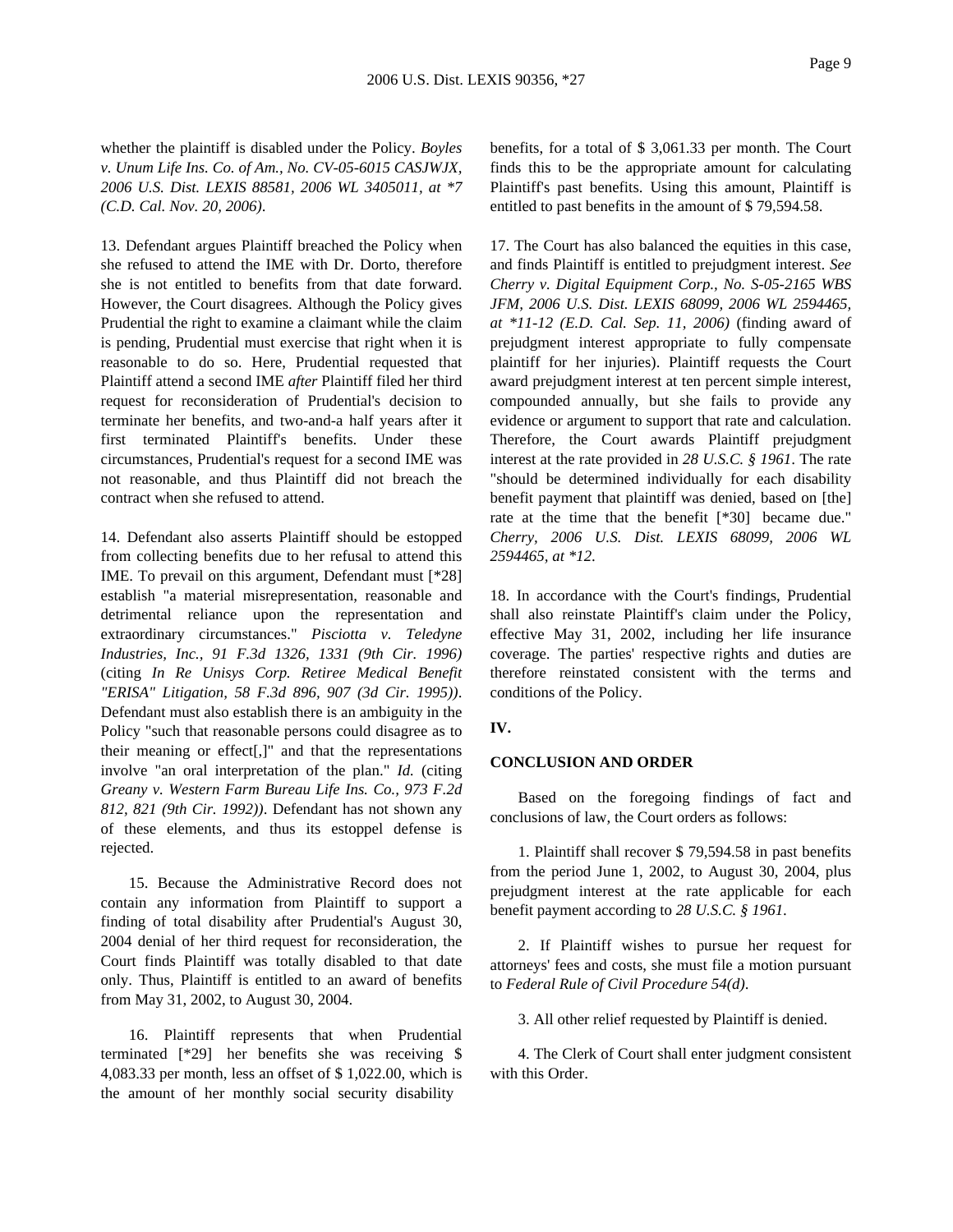whether the plaintiff is disabled under the Policy. *Boyles v. Unum Life Ins. Co. of Am., No. CV-05-6015 CASJWJX, 2006 U.S. Dist. LEXIS 88581, 2006 WL 3405011, at \*7 (C.D. Cal. Nov. 20, 2006)*.

13. Defendant argues Plaintiff breached the Policy when she refused to attend the IME with Dr. Dorto, therefore she is not entitled to benefits from that date forward. However, the Court disagrees. Although the Policy gives Prudential the right to examine a claimant while the claim is pending, Prudential must exercise that right when it is reasonable to do so. Here, Prudential requested that Plaintiff attend a second IME *after* Plaintiff filed her third request for reconsideration of Prudential's decision to terminate her benefits, and two-and-a half years after it first terminated Plaintiff's benefits. Under these circumstances, Prudential's request for a second IME was not reasonable, and thus Plaintiff did not breach the contract when she refused to attend.

14. Defendant also asserts Plaintiff should be estopped from collecting benefits due to her refusal to attend this IME. To prevail on this argument, Defendant must [\*28] establish "a material misrepresentation, reasonable and detrimental reliance upon the representation and extraordinary circumstances." *Pisciotta v. Teledyne Industries, Inc., 91 F.3d 1326, 1331 (9th Cir. 1996)* (citing *In Re Unisys Corp. Retiree Medical Benefit "ERISA" Litigation, 58 F.3d 896, 907 (3d Cir. 1995))*. Defendant must also establish there is an ambiguity in the Policy "such that reasonable persons could disagree as to their meaning or effect[,]" and that the representations involve "an oral interpretation of the plan." *Id.* (citing *Greany v. Western Farm Bureau Life Ins. Co., 973 F.2d 812, 821 (9th Cir. 1992))*. Defendant has not shown any of these elements, and thus its estoppel defense is rejected.

15. Because the Administrative Record does not contain any information from Plaintiff to support a finding of total disability after Prudential's August 30, 2004 denial of her third request for reconsideration, the Court finds Plaintiff was totally disabled to that date only. Thus, Plaintiff is entitled to an award of benefits from May 31, 2002, to August 30, 2004.

16. Plaintiff represents that when Prudential terminated [\*29] her benefits she was receiving \$ 4,083.33 per month, less an offset of \$ 1,022.00, which is the amount of her monthly social security disability

benefits, for a total of \$ 3,061.33 per month. The Court finds this to be the appropriate amount for calculating Plaintiff's past benefits. Using this amount, Plaintiff is entitled to past benefits in the amount of \$ 79,594.58.

17. The Court has also balanced the equities in this case, and finds Plaintiff is entitled to prejudgment interest. *See Cherry v. Digital Equipment Corp., No. S-05-2165 WBS JFM, 2006 U.S. Dist. LEXIS 68099, 2006 WL 2594465, at \*11-12 (E.D. Cal. Sep. 11, 2006)* (finding award of prejudgment interest appropriate to fully compensate plaintiff for her injuries). Plaintiff requests the Court award prejudgment interest at ten percent simple interest, compounded annually, but she fails to provide any evidence or argument to support that rate and calculation. Therefore, the Court awards Plaintiff prejudgment interest at the rate provided in *28 U.S.C. § 1961*. The rate "should be determined individually for each disability benefit payment that plaintiff was denied, based on [the] rate at the time that the benefit [\*30] became due." *Cherry, 2006 U.S. Dist. LEXIS 68099, 2006 WL 2594465, at \*12*.

18. In accordance with the Court's findings, Prudential shall also reinstate Plaintiff's claim under the Policy, effective May 31, 2002, including her life insurance coverage. The parties' respective rights and duties are therefore reinstated consistent with the terms and conditions of the Policy.

# **IV.**

## **CONCLUSION AND ORDER**

Based on the foregoing findings of fact and conclusions of law, the Court orders as follows:

1. Plaintiff shall recover \$ 79,594.58 in past benefits from the period June 1, 2002, to August 30, 2004, plus prejudgment interest at the rate applicable for each benefit payment according to *28 U.S.C. § 1961*.

2. If Plaintiff wishes to pursue her request for attorneys' fees and costs, she must file a motion pursuant to *Federal Rule of Civil Procedure 54(d)*.

3. All other relief requested by Plaintiff is denied.

4. The Clerk of Court shall enter judgment consistent with this Order.